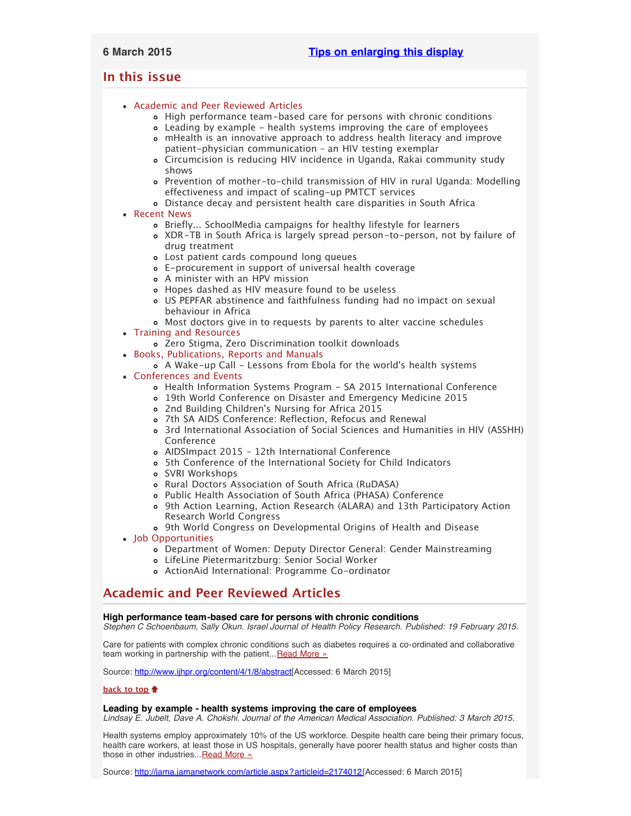## <span id="page-0-3"></span>**In this issue**

- [Academic and Peer Reviewed Articles](#page-0-0)
	- o [High performance team-based care for persons with chronic conditions](#page-0-1)
	- [Leading by example health systems improving the care of employees](#page-0-2) [mHealth is an innovative approach to address health literacy and improve](#page-1-0)
		- [patient-physician communication an HIV testing exemplar](#page-1-0)
	- [Circumcision is reducing HIV incidence in Uganda, Rakai community study](#page-1-1) [shows](#page-1-1)
	- [Prevention of mother-to-child transmission of HIV in rural Uganda: Modelling](#page-1-2) [effectiveness and impact of scaling-up PMTCT services](#page-1-2)
	- [Distance decay and persistent health care disparities in South Africa](#page-1-3)
- [Recent News](#page-1-4)
	- [Briefly... SchoolMedia campaigns for healthy lifestyle for learners](#page-1-5)
	- [XDR-TB in South Africa is largely spread person-to-person, not by failure of](#page-1-6) [drug treatment](#page-1-6)
	- [Lost patient cards compound long queues](#page-1-7)
	- [E-procurement in support of universal health coverage](#page-2-0)
	- [A minister with an HPV mission](#page-2-1)
	- [Hopes dashed as HIV measure found to be useless](#page-2-2)
	- [US PEPFAR abstinence and faithfulness funding had no impact on sexual](#page-2-3) [behaviour in Africa](#page-2-3)
	- [Most doctors give in to requests by parents to alter vaccine schedules](#page-2-4)
- [Training and Resources](#page-2-5)
	- [Zero Stigma, Zero Discrimination toolkit downloads](#page-2-6)
- [Books, Publications, Reports and Manuals](#page-2-7)
	- [A Wake-up Call Lessons from Ebola for the world](#page-2-8)'s health systems
- [Conferences and Events](#page-3-0)
	- [Health Information Systems Program SA 2015 International Conference](#page-3-1)
	- [19th World Conference on Disaster and Emergency Medicine 2015](#page-3-2)
	- 2nd Building Children['s Nursing for Africa 2015](#page-3-3)
	- [7th SA AIDS Conference: Reflection, Refocus and Renewal](#page-3-4)
	- [3rd International Association of Social Sciences and Humanities in HIV \(ASSHH\)](#page-3-5) [Conference](#page-3-5)
	- [AIDSImpact 2015 12th International Conference](#page-3-6)
	- [5th Conference of the International Society for Child Indicators](#page-4-0)
	- [SVRI Workshops](#page-4-1)
	- [Rural Doctors Association of South Africa \(RuDASA\)](#page-4-2)
	- [Public Health Association of South Africa \(PHASA\) Conference](#page-4-3)
	- [9th Action Learning, Action Research \(ALARA\) and 13th Participatory Action](#page-4-4) [Research World Congress](#page-4-4)
	- [9th World Congress on Developmental Origins of Health and Disease](#page-4-5)

## [Job Opportunities](#page-5-0)

- [Department of Women: Deputy Director General: Gender Mainstreaming](#page-5-1)
- [LifeLine Pietermaritzburg: Senior Social Worker](#page-5-2)
- [ActionAid International: Programme Co-ordinator](#page-5-3)

## <span id="page-0-0"></span>**Academic and Peer Reviewed Articles**

## <span id="page-0-1"></span>**High performance team-based care for persons with chronic conditions**

*Stephen C Schoenbaum, Sally Okun. Israel Journal of Health Policy Research. Published: 19 February 2015.*

Care for patients with complex chronic conditions such as diabetes requires a co-ordinated and collaborative team working in partnership with the patient... [Read More »](http://www.ijhpr.org/content/4/1/8/abstract)

Source: <http://www.ijhpr.org/content/4/1/8/abstract>[Accessed: 6 March 2015]

### **[back to top](#page-0-3)**

## <span id="page-0-2"></span>**Leading by example - health systems improving the care of employees**

*Lindsay E. Jubelt, Dave A. Chokshi. Journal of the American Medical Association. Published: 3 March 2015.*

Health systems employ approximately 10% of the US workforce. Despite health care being their primary focus, health care workers, at least those in US hospitals, generally have poorer health status and higher costs than those in other industries... [Read More »](http://jama.jamanetwork.com/article.aspx?articleid=2174012)

Source: <http://jama.jamanetwork.com/article.aspx?articleid=2174012>[Accessed: 6 March 2015]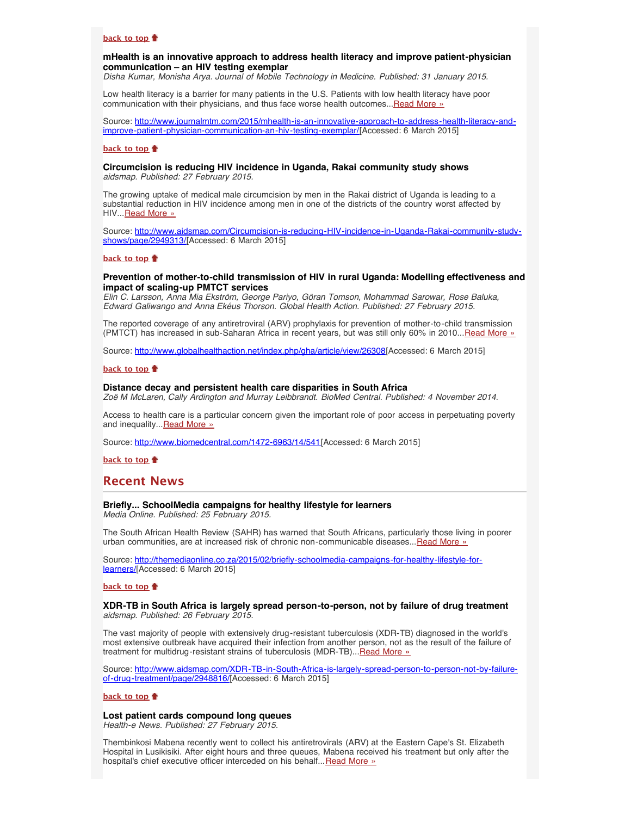### **[back to top](#page-0-3)**

## <span id="page-1-0"></span>**mHealth is an innovative approach to address health literacy and improve patient-physician communication – an HIV testing exemplar**

*Disha Kumar, Monisha Arya. Journal of Mobile Technology in Medicine. Published: 31 January 2015.*

Low health literacy is a barrier for many patients in the U.S. Patients with low health literacy have poor communication with their physicians, and thus face worse health outcomes... [Read More »](http://www.journalmtm.com/2015/mhealth-is-an-innovative-approach-to-address-health-literacy-and-improve-patient-physician-communication-an-hiv-testing-exemplar/)

Source: [http://www.journalmtm.com/2015/mhealth-is-an-innovative-approach-to-address-health-literacy-and](http://www.journalmtm.com/2015/mhealth-is-an-innovative-approach-to-address-health-literacy-and-improve-patient-physician-communication-an-hiv-testing-exemplar/)[improve-patient-physician-communication-an-hiv-testing-exemplar/](http://www.journalmtm.com/2015/mhealth-is-an-innovative-approach-to-address-health-literacy-and-improve-patient-physician-communication-an-hiv-testing-exemplar/)[Accessed: 6 March 2015]

### **[back to top](#page-0-3)**

#### <span id="page-1-1"></span>**Circumcision is reducing HIV incidence in Uganda, Rakai community study shows** *aidsmap. Published: 27 February 2015.*

The growing uptake of medical male circumcision by men in the Rakai district of Uganda is leading to a substantial reduction in HIV incidence among men in one of the districts of the country worst affected by HIV... [Read More »](http://www.aidsmap.com/Circumcision-is-reducing-HIV-incidence-in-Uganda-Rakai-community-study-shows/page/2949313/)

Source: [http://www.aidsmap.com/Circumcision-is-reducing-HIV-incidence-in-Uganda-Rakai-community-study](http://www.aidsmap.com/Circumcision-is-reducing-HIV-incidence-in-Uganda-Rakai-community-study-shows/page/2949313/)[shows/page/2949313/](http://www.aidsmap.com/Circumcision-is-reducing-HIV-incidence-in-Uganda-Rakai-community-study-shows/page/2949313/)[Accessed: 6 March 2015]

### **[back to top](#page-0-3)**

### <span id="page-1-2"></span>**Prevention of mother-to-child transmission of HIV in rural Uganda: Modelling effectiveness and impact of scaling-up PMTCT services**

*Elin C. Larsson, Anna Mia Ekström, George Pariyo, Göran Tomson, Mohammad Sarowar, Rose Baluka, Edward Galiwango and Anna Ekéus Thorson. Global Health Action. Published: 27 February 2015.*

The reported coverage of any antiretroviral (ARV) prophylaxis for prevention of mother-to-child transmission (PMTCT) has increased in sub-Saharan Africa in recent years, but was still only 60% in 2010... [Read More »](http://www.globalhealthaction.net/index.php/gha/article/view/26308)

Source: [http://www.globalhealthaction.net/index.php/gha/article/view/26308\[](http://www.globalhealthaction.net/index.php/gha/article/view/26308)Accessed: 6 March 2015]

#### **[back to top](#page-0-3)**

#### <span id="page-1-3"></span>**Distance decay and persistent health care disparities in South Africa**

*Zoë M McLaren, Cally Ardington and Murray Leibbrandt. BioMed Central. Published: 4 November 2014.*

Access to health care is a particular concern given the important role of poor access in perpetuating poverty and inequality... [Read More »](http://www.biomedcentral.com/1472-6963/14/541)

Source: [http://www.biomedcentral.com/1472-6963/14/541\[](http://www.biomedcentral.com/1472-6963/14/541)Accessed: 6 March 2015]

**[back to top](#page-0-3)**

## <span id="page-1-4"></span>**Recent News**

### <span id="page-1-5"></span>**Briefly... SchoolMedia campaigns for healthy lifestyle for learners**

*Media Online. Published: 25 February 2015.*

The South African Health Review (SAHR) has warned that South Africans, particularly those living in poorer urban communities, are at increased risk of chronic non-communicable diseases... [Read More »](http://www.hst.org.za/news/briefly-schoolmedia-campaigns-healthy-lifestyle-learners)

Source: [http://themediaonline.co.za/2015/02/briefly-schoolmedia-campaigns-for-healthy-lifestyle-for](http://themediaonline.co.za/2015/02/briefly-schoolmedia-campaigns-for-healthy-lifestyle-for-learners/)[learners/](http://themediaonline.co.za/2015/02/briefly-schoolmedia-campaigns-for-healthy-lifestyle-for-learners/)[Accessed: 6 March 2015]

#### **[back to top](#page-0-3)**

### <span id="page-1-6"></span>**XDR-TB in South Africa is largely spread person-to-person, not by failure of drug treatment** *aidsmap. Published: 26 February 2015.*

The vast majority of people with extensively drug-resistant tuberculosis (XDR-TB) diagnosed in the world's most extensive outbreak have acquired their infection from another person, not as the result of the failure of treatment for multidrug-resistant strains of tuberculosis (MDR-TB)... [Read More »](http://www.hst.org.za/news/xdr-tb-south-africa-largely-spread-person-person-not-failure-drug-treatment)

Source: [http://www.aidsmap.com/XDR-TB-in-South-Africa-is-largely-spread-person-to-person-not-by-failure](http://www.aidsmap.com/XDR-TB-in-South-Africa-is-largely-spread-person-to-person-not-by-failure-of-drug-treatment/page/2948816/)[of-drug-treatment/page/2948816/](http://www.aidsmap.com/XDR-TB-in-South-Africa-is-largely-spread-person-to-person-not-by-failure-of-drug-treatment/page/2948816/)[Accessed: 6 March 2015]

### **[back to top](#page-0-3)**

## <span id="page-1-7"></span>**Lost patient cards compound long queues**

*Health-e News. Published: 27 February 2015.*

Thembinkosi Mabena recently went to collect his antiretrovirals (ARV) at the Eastern Cape's St. Elizabeth Hospital in Lusikisiki. After eight hours and three queues, Mabena received his treatment but only after the hospital's chief executive officer interceded on his behalf... [Read More »](http://www.hst.org.za/news/lost-patient-cards-compound-long-queues)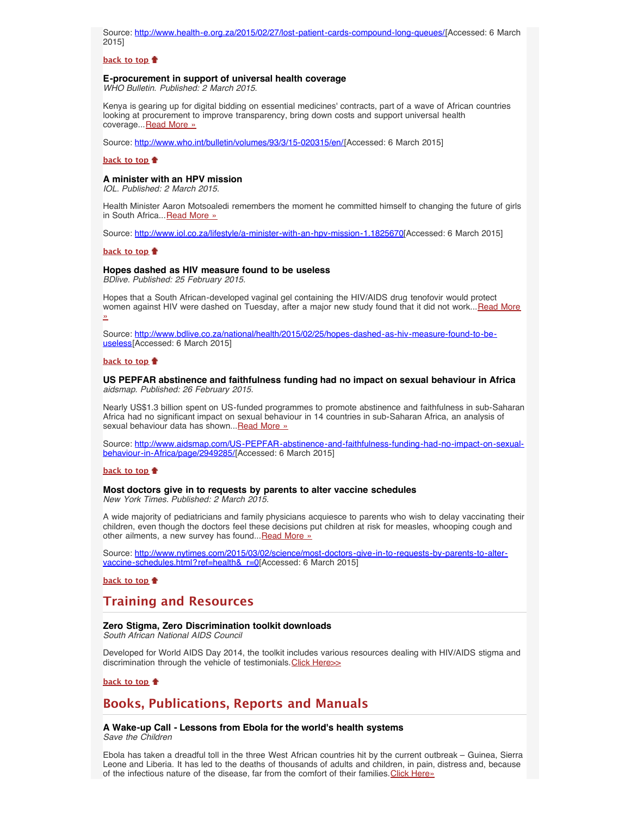Source: [http://www.health-e.org.za/2015/02/27/lost-patient-cards-compound-long-queues/\[](http://www.health-e.org.za/2015/02/27/lost-patient-cards-compound-long-queues/)Accessed: 6 March 2015]

### **[back to top](#page-0-3)**

## <span id="page-2-0"></span>**E-procurement in support of universal health coverage**

*WHO Bulletin. Published: 2 March 2015.*

Kenya is gearing up for digital bidding on essential medicines' contracts, part of a wave of African countries looking at procurement to improve transparency, bring down costs and support universal health coverage... [Read More »](http://www.who.int/bulletin/volumes/93/3/15-020315/en/)

Source: <http://www.who.int/bulletin/volumes/93/3/15-020315/en/>[Accessed: 6 March 2015]

### **[back to top](#page-0-3)**

### <span id="page-2-1"></span>**A minister with an HPV mission**

*IOL. Published: 2 March 2015.*

Health Minister Aaron Motsoaledi remembers the moment he committed himself to changing the future of girls in South Africa... [Read More »](http://www.iol.co.za/lifestyle/a-minister-with-an-hpv-mission-1.1825670)

Source: [http://www.iol.co.za/lifestyle/a-minister-with-an-hpv-mission-1.1825670\[](http://www.iol.co.za/lifestyle/a-minister-with-an-hpv-mission-1.1825670)Accessed: 6 March 2015]

#### **[back to top](#page-0-3)**

### <span id="page-2-2"></span>**Hopes dashed as HIV measure found to be useless** *BDlive. Published: 25 February 2015.*

Hopes that a South African-developed vaginal gel containing the HIV/AIDS drug tenofovir would protect women against HIV were dashed on Tuesday, after a major new study found that it did not work... [Read More](http://www.bdlive.co.za/national/health/2015/02/25/hopes-dashed-as-hiv-measure-found-to-be-useless) [»](http://www.bdlive.co.za/national/health/2015/02/25/hopes-dashed-as-hiv-measure-found-to-be-useless)

Source: [http://www.bdlive.co.za/national/health/2015/02/25/hopes-dashed-as-hiv-measure-found-to-be](http://www.bdlive.co.za/national/health/2015/02/25/hopes-dashed-as-hiv-measure-found-to-be-useless)[useless\[](http://www.bdlive.co.za/national/health/2015/02/25/hopes-dashed-as-hiv-measure-found-to-be-useless)Accessed: 6 March 2015]

### **[back to top](#page-0-3)**

### <span id="page-2-3"></span>**US PEPFAR abstinence and faithfulness funding had no impact on sexual behaviour in Africa** *aidsmap. Published: 26 February 2015.*

Nearly US\$1.3 billion spent on US-funded programmes to promote abstinence and faithfulness in sub-Saharan Africa had no significant impact on sexual behaviour in 14 countries in sub-Saharan Africa, an analysis of sexual behaviour data has shown... [Read More »](http://www.aidsmap.com/US-PEPFAR-abstinence-and-faithfulness-funding-had-no-impact-on-sexual-behaviour-in-Africa/page/2949285/)

Source: [http://www.aidsmap.com/US-PEPFAR-abstinence-and-faithfulness-funding-had-no-impact-on-sexual](http://www.aidsmap.com/US-PEPFAR-abstinence-and-faithfulness-funding-had-no-impact-on-sexual-behaviour-in-Africa/page/2949285/)[behaviour-in-Africa/page/2949285/](http://www.aidsmap.com/US-PEPFAR-abstinence-and-faithfulness-funding-had-no-impact-on-sexual-behaviour-in-Africa/page/2949285/)[Accessed: 6 March 2015]

## **[back to top](#page-0-3)**

## <span id="page-2-4"></span>**Most doctors give in to requests by parents to alter vaccine schedules**

*New York Times. Published: 2 March 2015.*

A wide majority of pediatricians and family physicians acquiesce to parents who wish to delay vaccinating their children, even though the doctors feel these decisions put children at risk for measles, whooping cough and other ailments, a new survey has found... [Read More »](http://www.nytimes.com/2015/03/02/science/most-doctors-give-in-to-requests-by-parents-to-alter-vaccine-schedules.html?ref=health&_r=0)

Source: [http://www.nytimes.com/2015/03/02/science/most-doctors-give-in-to-requests-by-parents-to-alter](http://www.nytimes.com/2015/03/02/science/most-doctors-give-in-to-requests-by-parents-to-alter-vaccine-schedules.html?ref=health&_r=0)vaccine-schedules.html?ref=health& r=0[Accessed: 6 March 2015]

**[back to top](#page-0-3)**

## <span id="page-2-5"></span>**Training and Resources**

## <span id="page-2-6"></span>**Zero Stigma, Zero Discrimination toolkit downloads**

*South African National AIDS Council*

Developed for World AIDS Day 2014, the toolkit includes various resources dealing with HIV/AIDS stigma and discrimination through the vehicle of testimonials. [Click Here>>](http://sanac.org.za/world-aids-day-campaign-toolkit-and-guiding-messages)

**[back to top](#page-0-3)**

## <span id="page-2-7"></span>**Books, Publications, Reports and Manuals**

## <span id="page-2-8"></span>**A Wake-up Call - Lessons from Ebola for the world's health systems**

*Save the Children*

Ebola has taken a dreadful toll in the three West African countries hit by the current outbreak – Guinea, Sierra Leone and Liberia. It has led to the deaths of thousands of adults and children, in pain, distress and, because of the infectious nature of the disease, far from the comfort of their families. [Click Here»](http://www.savethechildren.org.uk/sites/default/files/images/A-Wake-Up-Call.pdf)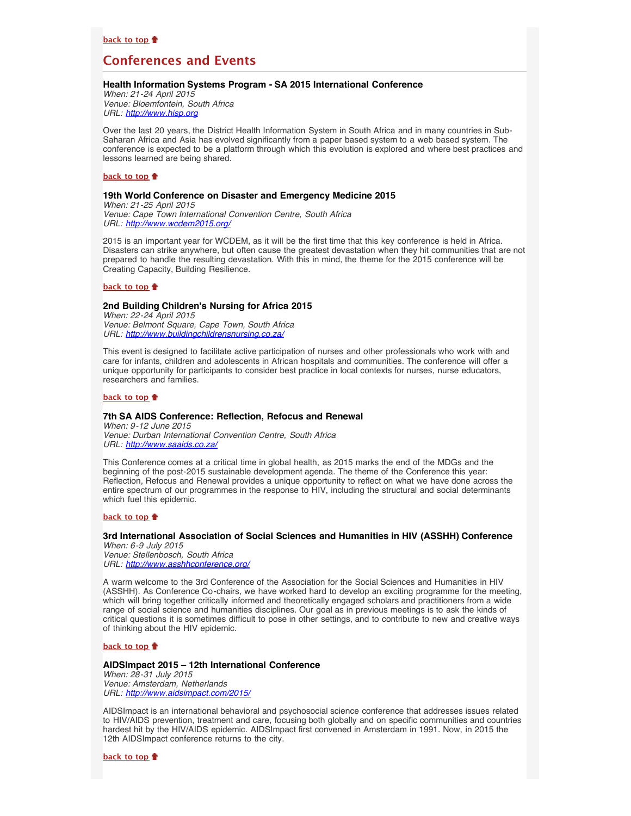# <span id="page-3-0"></span>**Conferences and Events**

## <span id="page-3-1"></span>**Health Information Systems Program - SA 2015 International Conference**

*When: 21-24 April 2015 Venue: Bloemfontein, South Africa URL: [http://www.hisp.org](http://www.hisp.org/)*

Over the last 20 years, the District Health Information System in South Africa and in many countries in Sub-Saharan Africa and Asia has evolved significantly from a paper based system to a web based system. The conference is expected to be a platform through which this evolution is explored and where best practices and lessons learned are being shared.

### **[back to top](#page-0-3)**

### <span id="page-3-2"></span>**19th World Conference on Disaster and Emergency Medicine 2015**

*When: 21-25 April 2015 Venue: Cape Town International Convention Centre, South Africa URL: <http://www.wcdem2015.org/>*

2015 is an important year for WCDEM, as it will be the first time that this key conference is held in Africa. Disasters can strike anywhere, but often cause the greatest devastation when they hit communities that are not prepared to handle the resulting devastation. With this in mind, the theme for the 2015 conference will be Creating Capacity, Building Resilience.

### **[back to top](#page-0-3)**

## <span id="page-3-3"></span>**2nd Building Children's Nursing for Africa 2015**

*When: 22-24 April 2015 Venue: Belmont Square, Cape Town, South Africa URL: <http://www.buildingchildrensnursing.co.za/>*

This event is designed to facilitate active participation of nurses and other professionals who work with and care for infants, children and adolescents in African hospitals and communities. The conference will offer a unique opportunity for participants to consider best practice in local contexts for nurses, nurse educators, researchers and families.

### **[back to top](#page-0-3)**

## <span id="page-3-4"></span>**7th SA AIDS Conference: Reflection, Refocus and Renewal**

*When: 9-12 June 2015 Venue: Durban International Convention Centre, South Africa URL: <http://www.saaids.co.za/>*

This Conference comes at a critical time in global health, as 2015 marks the end of the MDGs and the beginning of the post-2015 sustainable development agenda. The theme of the Conference this year: Reflection, Refocus and Renewal provides a unique opportunity to reflect on what we have done across the entire spectrum of our programmes in the response to HIV, including the structural and social determinants which fuel this epidemic.

### **[back to top](#page-0-3)**

### <span id="page-3-5"></span>**3rd International Association of Social Sciences and Humanities in HIV (ASSHH) Conference** *When: 6-9 July 2015*

*Venue: Stellenbosch, South Africa URL: <http://www.asshhconference.org/>*

A warm welcome to the 3rd Conference of the Association for the Social Sciences and Humanities in HIV (ASSHH). As Conference Co-chairs, we have worked hard to develop an exciting programme for the meeting, which will bring together critically informed and theoretically engaged scholars and practitioners from a wide range of social science and humanities disciplines. Our goal as in previous meetings is to ask the kinds of critical questions it is sometimes difficult to pose in other settings, and to contribute to new and creative ways of thinking about the HIV epidemic.

### **[back to top](#page-0-3)**

## <span id="page-3-6"></span>**AIDSImpact 2015 – 12th International Conference**

*When: 28-31 July 2015 Venue: Amsterdam, Netherlands URL: <http://www.aidsimpact.com/2015/>*

AIDSImpact is an international behavioral and psychosocial science conference that addresses issues related to HIV/AIDS prevention, treatment and care, focusing both globally and on specific communities and countries hardest hit by the HIV/AIDS epidemic. AIDSImpact first convened in Amsterdam in 1991. Now, in 2015 the 12th AIDSImpact conference returns to the city.

**[back to top](#page-0-3)**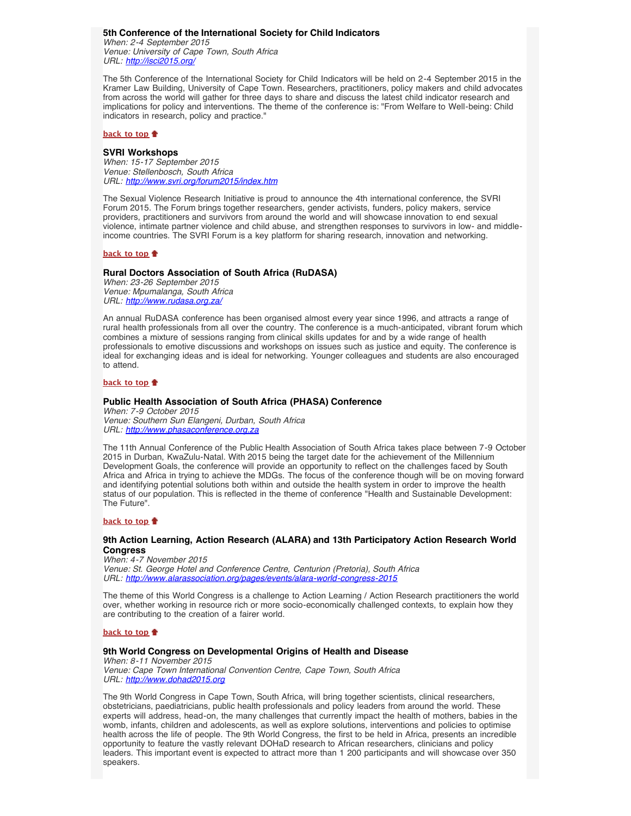### <span id="page-4-0"></span>**5th Conference of the International Society for Child Indicators**

*When: 2-4 September 2015 Venue: University of Cape Town, South Africa URL: <http://isci2015.org/>*

The 5th Conference of the International Society for Child Indicators will be held on 2-4 September 2015 in the Kramer Law Building, University of Cape Town. Researchers, practitioners, policy makers and child advocates from across the world will gather for three days to share and discuss the latest child indicator research and implications for policy and interventions. The theme of the conference is: "From Welfare to Well-being: Child indicators in research, policy and practice."

### **[back to top](#page-0-3)**

### <span id="page-4-1"></span>**SVRI Workshops**

*When: 15-17 September 2015 Venue: Stellenbosch, South Africa URL: <http://www.svri.org/forum2015/index.htm>*

The Sexual Violence Research Initiative is proud to announce the 4th international conference, the SVRI Forum 2015. The Forum brings together researchers, gender activists, funders, policy makers, service providers, practitioners and survivors from around the world and will showcase innovation to end sexual violence, intimate partner violence and child abuse, and strengthen responses to survivors in low- and middleincome countries. The SVRI Forum is a key platform for sharing research, innovation and networking.

### **[back to top](#page-0-3)**

## <span id="page-4-2"></span>**Rural Doctors Association of South Africa (RuDASA)**

*When: 23-26 September 2015 Venue: Mpumalanga, South Africa URL: <http://www.rudasa.org.za/>*

An annual RuDASA conference has been organised almost every year since 1996, and attracts a range of rural health professionals from all over the country. The conference is a much-anticipated, vibrant forum which combines a mixture of sessions ranging from clinical skills updates for and by a wide range of health professionals to emotive discussions and workshops on issues such as justice and equity. The conference is ideal for exchanging ideas and is ideal for networking. Younger colleagues and students are also encouraged to attend.

### **[back to top](#page-0-3)**

### <span id="page-4-3"></span>**Public Health Association of South Africa (PHASA) Conference**

*When: 7-9 October 2015 Venue: Southern Sun Elangeni, Durban, South Africa URL: [http://www.phasaconference.org.za](http://www.phasaconference.org.za/)*

The 11th Annual Conference of the Public Health Association of South Africa takes place between 7-9 October 2015 in Durban, KwaZulu-Natal. With 2015 being the target date for the achievement of the Millennium Development Goals, the conference will provide an opportunity to reflect on the challenges faced by South Africa and Africa in trying to achieve the MDGs. The focus of the conference though will be on moving forward and identifying potential solutions both within and outside the health system in order to improve the health status of our population. This is reflected in the theme of conference "Health and Sustainable Development: The Future".

### **[back to top](#page-0-3)**

## <span id="page-4-4"></span>**9th Action Learning, Action Research (ALARA) and 13th Participatory Action Research World Congress**

*When: 4-7 November 2015 Venue: St. George Hotel and Conference Centre, Centurion (Pretoria), South Africa URL: <http://www.alarassociation.org/pages/events/alara-world-congress-2015>*

The theme of this World Congress is a challenge to Action Learning / Action Research practitioners the world over, whether working in resource rich or more socio-economically challenged contexts, to explain how they are contributing to the creation of a fairer world.

#### **[back to top](#page-0-3)**

## <span id="page-4-5"></span>**9th World Congress on Developmental Origins of Health and Disease**

*When: 8-11 November 2015 Venue: Cape Town International Convention Centre, Cape Town, South Africa URL: [http://www.dohad2015.org](http://www.dohad2015.org/)*

The 9th World Congress in Cape Town, South Africa, will bring together scientists, clinical researchers, obstetricians, paediatricians, public health professionals and policy leaders from around the world. These experts will address, head-on, the many challenges that currently impact the health of mothers, babies in the womb, infants, children and adolescents, as well as explore solutions, interventions and policies to optimise health across the life of people. The 9th World Congress, the first to be held in Africa, presents an incredible opportunity to feature the vastly relevant DOHaD research to African researchers, clinicians and policy leaders. This important event is expected to attract more than 1 200 participants and will showcase over 350 speakers.